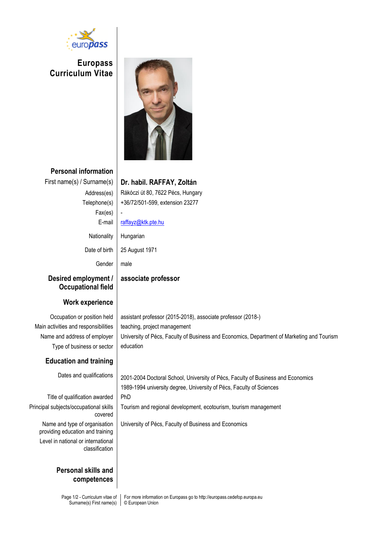

**Europass Curriculum Vitae**



**Personal information**

# First name(s) / Surname(s) **Dr. habil. RAFFAY, Zoltán**

 $Fax(es)$ Gender | male

Address(es) | Rákóczi út 80, 7622 Pécs, Hungary Telephone(s) +36/72/501-599, extension 23277

E-mail [raffayz@ktk.pte.hu](mailto:raffayz@ktk.pte.hu)

Nationality Hungarian

Date of birth | 25 August 1971

## **associate professor**

#### **Desired employment / Occupational field**

## **Work experience**

Occupation or position held | assistant professor (2015-2018), associate professor (2018-) Main activities and responsibilities | teaching, project management Name and address of employer | University of Pécs, Faculty of Business and Economics, Department of Marketing and Tourism Type of business or sector  $\vert$  education

## **Education and training**

Dates and qualifications | 2001-2004 Doctoral School, University of Pécs, Faculty of Business and Economics 1989-1994 university degree, University of Pécs, Faculty of Sciences Tourism and regional development, ecotourism, tourism management

University of Pécs, Faculty of Business and Economics

Title of qualification awarded | PhD Principal subjects/occupational skills covered Name and type of organisation providing education and training Level in national or international classification

#### **Personal skills and competences**